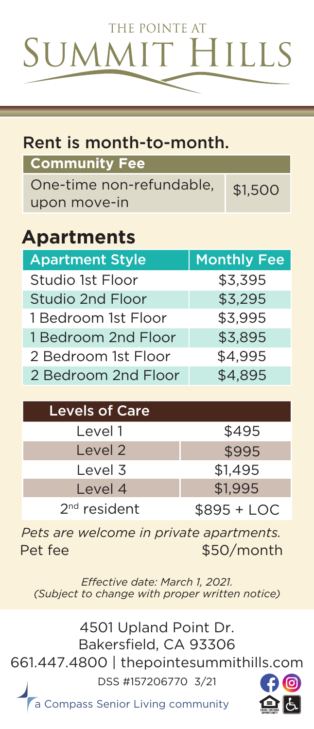## THE POINTE AT SUMMIT HILLS

| Rent is month-to-month.                  |         |  |
|------------------------------------------|---------|--|
| <b>Community Fee</b>                     |         |  |
| One-time non-refundable,<br>upon move-in | \$1,500 |  |

## **Apartments**

| <b>Apartment Style</b>  | <b>Monthly Fee</b> |
|-------------------------|--------------------|
| Studio 1st Floor        | \$3,395            |
| <b>Studio 2nd Floor</b> | \$3,295            |
| 1 Bedroom 1st Floor     | \$3,995            |
| 1 Bedroom 2nd Floor     | \$3,895            |
| 2 Bedroom 1st Floor     | \$4,995            |
| 2 Bedroom 2nd Floor     | \$4,895            |

| <b>Levels of Care</b> |  |
|-----------------------|--|
|                       |  |

| Level 1        | \$495        |
|----------------|--------------|
| Level 2        | \$995        |
| Level 3        | \$1,495      |
| Level 4        | \$1,995      |
| $2nd$ resident | $$895 + LOC$ |

*Pets are welcome in private apartments.* Pet fee  $$50/m$ onth

*Effective date: March 1, 2021. (Subject to change with proper written notice)*

4501 Upland Point Dr. Bakersfield, CA 93306 661.447.4800 | thepointesummithills.com DSS #157206770 3/21

a Compass Senior Living community